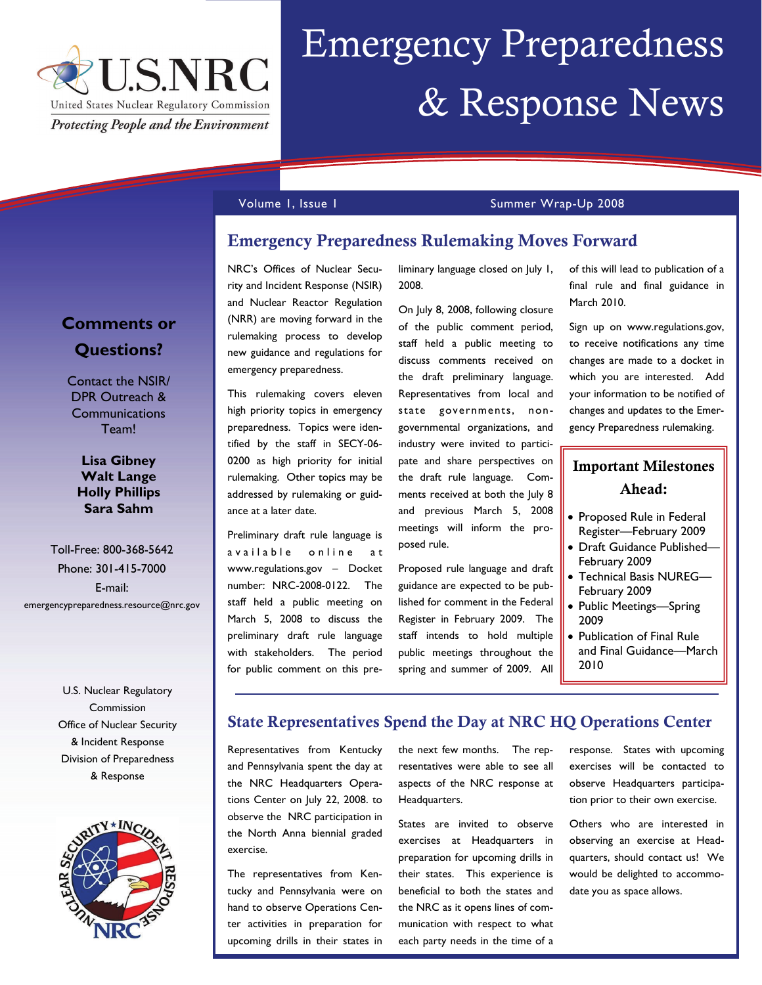

# Emergency Preparedness & Response News

### Volume 1, Issue 1 Summer Wrap-Up 2008

## Emergency Preparedness Rulemaking Moves Forward

NRC's Offices of Nuclear Security and Incident Response (NSIR) and Nuclear Reactor Regulation (NRR) are moving forward in the rulemaking process to develop new guidance and regulations for emergency preparedness.

This rulemaking covers eleven high priority topics in emergency preparedness. Topics were identified by the staff in SECY-06- 0200 as high priority for initial rulemaking. Other topics may be addressed by rulemaking or guidance at a later date.

Preliminary draft rule language is a vailable online at www.regulations.gov – Docket number: NRC-2008-0122. The staff held a public meeting on March 5, 2008 to discuss the preliminary draft rule language with stakeholders. The period for public comment on this preliminary language closed on July 1, 2008.

On July 8, 2008, following closure of the public comment period, staff held a public meeting to discuss comments received on the draft preliminary language. Representatives from local and state governments, nongovernmental organizations, and industry were invited to participate and share perspectives on the draft rule language. Comments received at both the July 8 and previous March 5, 2008 meetings will inform the proposed rule.

Proposed rule language and draft guidance are expected to be published for comment in the Federal Register in February 2009. The staff intends to hold multiple public meetings throughout the spring and summer of 2009. All

of this will lead to publication of a final rule and final guidance in March 2010.

Sign up on www.regulations.gov, to receive notifications any time changes are made to a docket in which you are interested. Add your information to be notified of changes and updates to the Emergency Preparedness rulemaking.

# Important Milestones Ahead:

- Proposed Rule in Federal Register—February 2009
- Draft Guidance Published— February 2009
- Technical Basis NUREG— February 2009
- Public Meetings—Spring 2009
- Publication of Final Rule and Final Guidance—March 2010

## State Representatives Spend the Day at NRC HQ Operations Center

Representatives from Kentucky and Pennsylvania spent the day at the NRC Headquarters Operations Center on July 22, 2008. to observe the NRC participation in the North Anna biennial graded exercise.

The representatives from Kentucky and Pennsylvania were on hand to observe Operations Center activities in preparation for upcoming drills in their states in

the next few months. The representatives were able to see all aspects of the NRC response at Headquarters.

States are invited to observe exercises at Headquarters in preparation for upcoming drills in their states. This experience is beneficial to both the states and the NRC as it opens lines of communication with respect to what each party needs in the time of a

response. States with upcoming exercises will be contacted to observe Headquarters participation prior to their own exercise.

Others who are interested in observing an exercise at Headquarters, should contact us! We would be delighted to accommodate you as space allows.

# **Comments or Questions?**

Contact the NSIR/ DPR Outreach & **Communications** Team!

**Lisa Gibney Walt Lange Holly Phillips Sara Sahm** 

Toll-Free: 800-368-5642 Phone: 301-415-7000 E-mail: emergencypreparedness.resource@nrc.gov

> U.S. Nuclear Regulatory Commission Office of Nuclear Security & Incident Response Division of Preparedness & Response